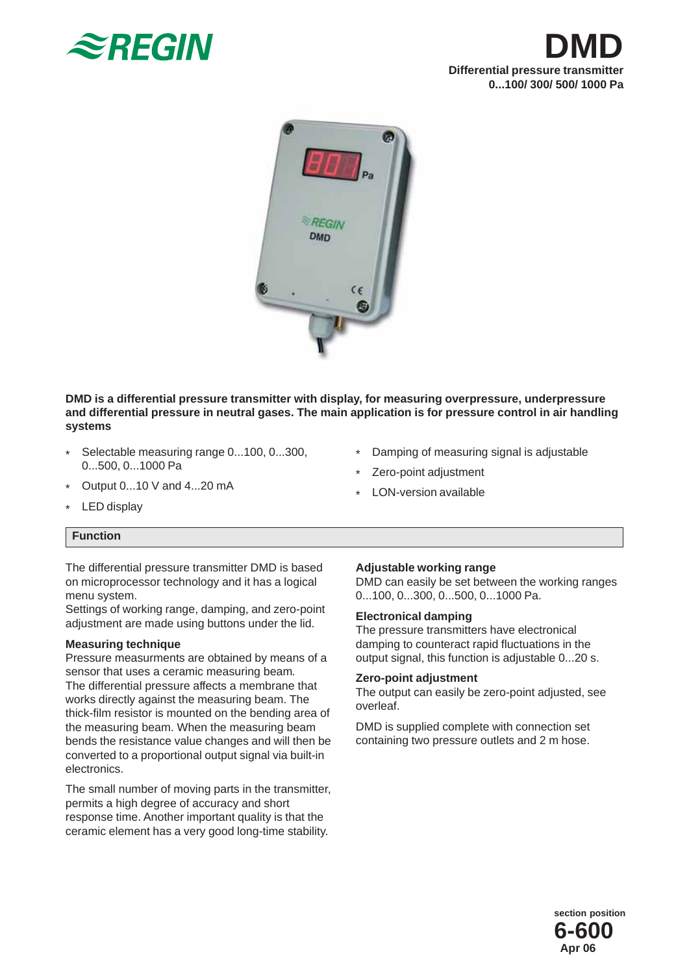





**DMD is a differential pressure transmitter with display, for measuring overpressure, underpressure and differential pressure in neutral gases. The main application is for pressure control in air handling systems**

- \* Selectable measuring range 0...100, 0...300, 0...500, 0...1000 Pa
- \* Output 0...10 V and 4...20 mA
- \* Damping of measuring signal is adjustable
- \* Zero-point adjustment
- \* LON-version available

\* LED display

### **Function**

The differential pressure transmitter DMD is based on microprocessor technology and it has a logical menu system.

Settings of working range, damping, and zero-point adjustment are made using buttons under the lid.

# **Measuring technique**

Pressure measurments are obtained by means of a sensor that uses a ceramic measuring beam*.* The differential pressure affects a membrane that works directly against the measuring beam. The thick-film resistor is mounted on the bending area of the measuring beam. When the measuring beam bends the resistance value changes and will then be converted to a proportional output signal via built-in electronics.

The small number of moving parts in the transmitter, permits a high degree of accuracy and short response time. Another important quality is that the ceramic element has a very good long-time stability.

# **Adjustable working range**

DMD can easily be set between the working ranges 0...100, 0...300, 0...500, 0...1000 Pa.

### **Electronical damping**

The pressure transmitters have electronical damping to counteract rapid fluctuations in the output signal, this function is adjustable 0...20 s.

### **Zero-point adjustment**

The output can easily be zero-point adjusted, see overleaf.

DMD is supplied complete with connection set containing two pressure outlets and 2 m hose.